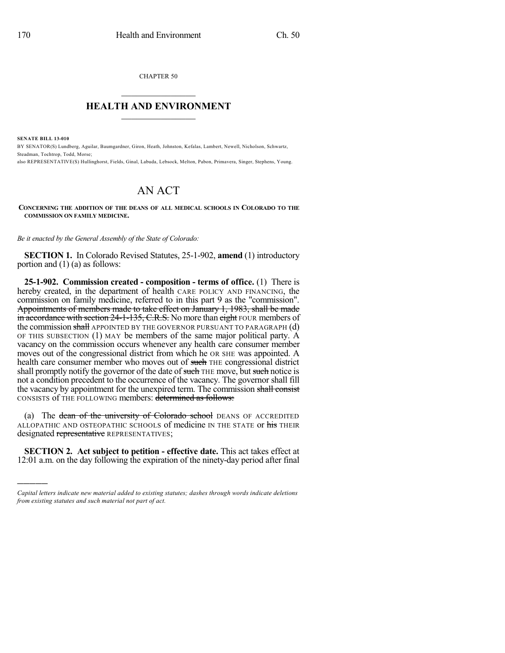CHAPTER 50  $\mathcal{L}_\text{max}$  . The set of the set of the set of the set of the set of the set of the set of the set of the set of the set of the set of the set of the set of the set of the set of the set of the set of the set of the set

## **HEALTH AND ENVIRONMENT**  $\frac{1}{2}$  ,  $\frac{1}{2}$  ,  $\frac{1}{2}$  ,  $\frac{1}{2}$  ,  $\frac{1}{2}$  ,  $\frac{1}{2}$  ,  $\frac{1}{2}$

**SENATE BILL 13-010**

)))))

BY SENATOR(S) Lundberg, Aguilar, Baumgardner, Giron, Heath, Johnston, Kefalas, Lambert, Newell, Nicholson, Schwartz, Steadman, Tochtrop, Todd, Morse;

also REPRESENTATIVE(S) Hullinghorst, Fields, Ginal, Labuda, Lebsock, Melton, Pabon, Primavera, Singer, Stephens, Young.

## AN ACT

**CONCERNING THE ADDITION OF THE DEANS OF ALL MEDICAL SCHOOLS IN COLORADO TO THE COMMISSION ON FAMILY MEDICINE.**

*Be it enacted by the General Assembly of the State of Colorado:*

**SECTION 1.** In Colorado Revised Statutes, 25-1-902, **amend** (1) introductory portion and (1) (a) as follows:

**25-1-902. Commission created - composition - terms of office.** (1) There is hereby created, in the department of health CARE POLICY AND FINANCING, the commission on family medicine, referred to in this part 9 as the "commission". Appointments of members made to take effect on January 1, 1983, shall be made in accordance with section 24-1-135, C.R.S. No more than eight FOUR members of the commission shall APPOINTED BY THE GOVERNOR PURSUANT TO PARAGRAPH (d) OF THIS SUBSECTION (1) MAY be members of the same major political party. A vacancy on the commission occurs whenever any health care consumer member moves out of the congressional district from which he OR SHE was appointed. A health care consumer member who moves out of such THE congressional district shall promptly notify the governor of the date of such THE move, but such notice is not a condition precedent to the occurrence of the vacancy. The governor shall fill the vacancy by appointment for the unexpired term. The commission shall consist CONSISTS of THE FOLLOWING members: determined as follows:

(a) The dean of the university of Colorado school DEANS OF ACCREDITED ALLOPATHIC AND OSTEOPATHIC SCHOOLS of medicine IN THE STATE or his THEIR designated representative REPRESENTATIVES;

**SECTION 2. Act subject to petition - effective date.** This act takes effect at 12:01 a.m. on the day following the expiration of the ninety-day period after final

*Capital letters indicate new material added to existing statutes; dashes through words indicate deletions from existing statutes and such material not part of act.*